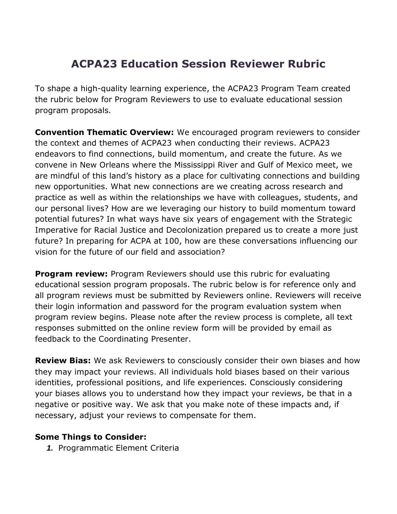## **ACPA23 Education Session Reviewer Rubric**

To shape a high-quality learning experience, the ACPA23 Program Team created the rubric below for Program Reviewers to use to evaluate educational session program proposals.

**Convention Thematic Overview:** We encouraged program reviewers to consider the context and themes of ACPA23 when conducting their reviews. ACPA23 endeavors to find connections, build momentum, and create the future. As we convene in New Orleans where the Mississippi River and Gulf of Mexico meet, we are mindful of this land's history as a place for cultivating connections and building new opportunities. What new connections are we creating across research and practice as well as within the relationships we have with colleagues, students, and our personal lives? How are we leveraging our history to build momentum toward potential futures? In what ways have six years of engagement with the Strategic Imperative for Racial Justice and Decolonization prepared us to create a more just future? In preparing for ACPA at 100, how are these conversations influencing our vision for the future of our field and association?

**Program review:** Program Reviewers should use this rubric for evaluating educational session program proposals. The rubric below is for reference only and all program reviews must be submitted by Reviewers online. Reviewers will receive their login information and password for the program evaluation system when program review begins. Please note after the review process is complete, all text responses submitted on the online review form will be provided by email as feedback to the Coordinating Presenter.

**Review Bias:** We ask Reviewers to consciously consider their own biases and how they may impact your reviews. All individuals hold biases based on their various identities, professional positions, and life experiences. Consciously considering your biases allows you to understand how they impact your reviews, be that in a negative or positive way. We ask that you make note of these impacts and, if necessary, adjust your reviews to compensate for them.

## **Some Things to Consider:**

*1.* Programmatic Element Criteria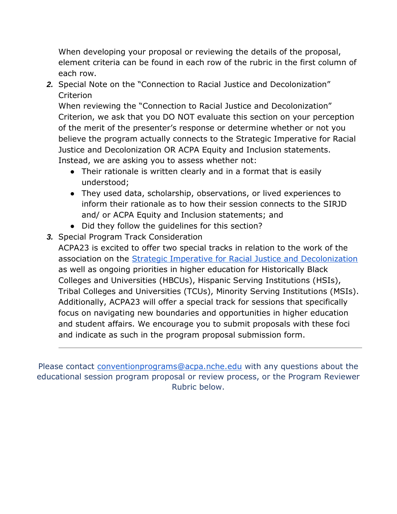When developing your proposal or reviewing the details of the proposal, element criteria can be found in each row of the rubric in the first column of each row.

*2.* Special Note on the "Connection to Racial Justice and Decolonization" Criterion

When reviewing the "Connection to Racial Justice and Decolonization" Criterion, we ask that you DO NOT evaluate this section on your perception of the merit of the presenter's response or determine whether or not you believe the program actually connects to the Strategic Imperative for Racial Justice and Decolonization OR ACPA Equity and Inclusion statements. Instead, we are asking you to assess whether not:

- Their rationale is written clearly and in a format that is easily understood;
- They used data, scholarship, observations, or lived experiences to inform their rationale as to how their session connects to the SIRJD and/ or ACPA Equity and Inclusion statements; and
- Did they follow the quidelines for this section?
- *3.* Special Program Track Consideration

ACPA23 is excited to offer two special tracks in relation to the work of the association on the [Strategic Imperative for Racial Justice and Decolonization](https://www.myacpa.org/sirjd) as well as ongoing priorities in higher education for Historically Black Colleges and Universities (HBCUs), Hispanic Serving Institutions (HSIs), Tribal Colleges and Universities (TCUs), Minority Serving Institutions (MSIs). Additionally, ACPA23 will offer a special track for sessions that specifically focus on navigating new boundaries and opportunities in higher education and student affairs. We encourage you to submit proposals with these foci and indicate as such in the program proposal submission form.

Please contact [conventionprograms@acpa.nche.edu](mailto:conventionprograms@acpa.nche.edu) with any questions about the educational session program proposal or review process, or the Program Reviewer Rubric below.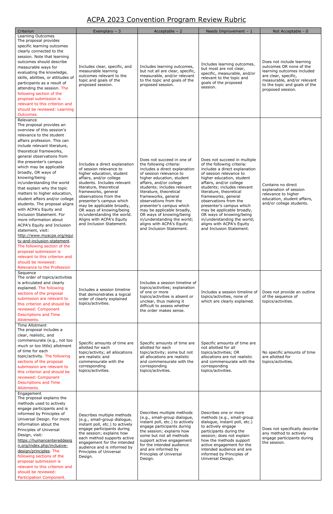## ACPA 2023 Convention Program Review Rubric

| Criterion<br>Learning Outcomes<br>The proposal provides<br>specific learning outcomes<br>clearly connected to the<br>session. Note that learning<br>outcomes should describe<br>measurable ways for<br>evaluating the knowledge,<br>skills, abilities, or attitudes of<br>participants as a result of<br>attending the session. The<br>following section of the<br>proposal submission is<br>relevant to this criterion and<br>should be reviewed: Learning<br>Outcomes.                                                                                                                                                                                                                                                                                                                                                               | Exemplary $-3$<br>Includes clear, specific, and<br>measurable learning<br>outcomes relevant to the<br>topic and goals of the<br>proposed session.                                                                                                                                                                                                                                                        | Acceptable $-2$<br>Includes learning outcomes,<br>but not all are clear, specific,<br>measurable, and/or relevant<br>to the topic and goals of the<br>proposed session.                                                                                                                                                                                                                                                                                           | Needs Improvement - 1<br>Includes learning outcomes,<br>but most are not clear,<br>specific, measurable, and/or<br>relevant to the topic and<br>goals of the proposed<br>session.                                                                                                                                                                                                                                                                                      | Not Acceptable - 0<br>Does not include learning<br>outcomes OR none of the<br>learning outcomes included<br>are clear, specific,<br>measurable, and/or relevant<br>to the topic and goals of the<br>proposed session. |
|----------------------------------------------------------------------------------------------------------------------------------------------------------------------------------------------------------------------------------------------------------------------------------------------------------------------------------------------------------------------------------------------------------------------------------------------------------------------------------------------------------------------------------------------------------------------------------------------------------------------------------------------------------------------------------------------------------------------------------------------------------------------------------------------------------------------------------------|----------------------------------------------------------------------------------------------------------------------------------------------------------------------------------------------------------------------------------------------------------------------------------------------------------------------------------------------------------------------------------------------------------|-------------------------------------------------------------------------------------------------------------------------------------------------------------------------------------------------------------------------------------------------------------------------------------------------------------------------------------------------------------------------------------------------------------------------------------------------------------------|------------------------------------------------------------------------------------------------------------------------------------------------------------------------------------------------------------------------------------------------------------------------------------------------------------------------------------------------------------------------------------------------------------------------------------------------------------------------|-----------------------------------------------------------------------------------------------------------------------------------------------------------------------------------------------------------------------|
| Relevance<br>The proposal provides an<br>overview of this session's<br>relevance to the student<br>affairs profession. This can<br>include relevant literature,<br>theoretical frameworks,<br>general observations from<br>the presenter's campus<br>which may be applicable<br>broadly, OR ways of<br>knowing/being<br>in/understanding the world<br>that explain why the topic<br>matters to higher education,<br>student affairs and/or college<br>students. The proposal aligns<br>with ACPA's Equity and<br>Inclusion Statement. For<br>more information about<br>ACPA's Equity and Inclusion<br>statement, visit:<br>http://www.myacpa.org/equi<br>ty-and-inclusion-statement.<br>The following section of the<br>proposal submission is<br>relevant to this criterion and<br>should be reviewed:<br>Relevance to the Profession | Includes a direct explanation<br>of session relevance to<br>higher education, student<br>affairs, and/or college<br>students. Includes relevant<br>literature, theoretical<br>frameworks, general<br>observations from the<br>presenter's campus which<br>may be applicable broadly,<br>OR ways of knowing/being<br>in/understanding the world.<br>Aligns with ACPA's Equity<br>and Inclusion Statement. | Does not succeed in one of<br>the following criteria:<br>includes a direct explanation<br>of session relevance to<br>higher education, student<br>affairs, and/or college<br>students; includes relevant<br>literature, theoretical<br>frameworks, general<br>observations from the<br>presenter's campus which<br>may be applicable broadly,<br>OR ways of knowing/being<br>in/understanding the world;<br>aligns with ACPA's Equity<br>and Inclusion Statement. | Does not succeed in multiple<br>of the following criteria:<br>includes a direct explanation<br>of session relevance to<br>higher education, student<br>affairs, and/or college<br>students; includes relevant<br>literature, theoretical<br>frameworks, general<br>observations from the<br>presenter's campus which<br>may be applicable broadly,<br>OR ways of knowing/being<br>in/understanding the world;<br>aligns with ACPA's Equity<br>and Inclusion Statement. | Contains no direct<br>explanation of session<br>relevance to higher<br>education, student affairs,<br>and/or college students.                                                                                        |
| Sequence<br>The order of topics/activities<br>is articulated and clearly<br>explained. The following<br>sections of the proposal<br>submission are relevant to<br>this criterion and should be<br>reviewed: Component<br><b>Descriptions and Time</b><br>Allotments.                                                                                                                                                                                                                                                                                                                                                                                                                                                                                                                                                                   | Includes a session timeline<br>that demonstrates a logical<br>order of clearly explained<br>topics/activities.                                                                                                                                                                                                                                                                                           | Includes a session timeline of<br>topics/activities; explanation<br>of one or more<br>topics/activities is absent or<br>unclear, thus making it<br>difficult to assess whether<br>the order makes sense.                                                                                                                                                                                                                                                          | Includes a session timeline of<br>topics/activities, none of<br>which are clearly explained.                                                                                                                                                                                                                                                                                                                                                                           | Does not provide an outline<br>of the sequence of<br>topics/activities.                                                                                                                                               |
| Time Allotment<br>The proposal includes a<br>clear, realistic, and<br>commensurate (e.g., not too<br>much or too little) allotment<br>of time for each<br>topic/activity. The following<br>sections of the proposal<br>submission are relevant to<br>this criterion and should be<br>reviewed: Component<br><b>Descriptions and Time</b><br>Allotments.                                                                                                                                                                                                                                                                                                                                                                                                                                                                                | Specific amounts of time are<br>allotted for each<br>topic/activity; all allocations<br>are realistic and<br>commensurate with the<br>corresponding<br>topics/activities.                                                                                                                                                                                                                                | Specific amounts of time are<br>allotted for each<br>topic/activity; some but not<br>all allocations are realistic<br>and commensurate with the<br>corresponding<br>topics/activities.                                                                                                                                                                                                                                                                            | Specific amounts of time are<br>not allotted for all<br>topics/activities; OR<br>allocations are not realistic<br>and commensurate with the<br>corresponding<br>topics/activities.                                                                                                                                                                                                                                                                                     | No specific amounts of time<br>are allotted for<br>topics/activities.                                                                                                                                                 |
| Engagement<br>The proposal explains the<br>methods used to actively<br>engage participants and is<br>informed by Principles of<br>Universal Design. For more<br>information about the<br>Principles of Universal<br>Design, visit:<br>https://humancentereddesig<br>n.org/index.php/inclusive-<br>design/principles. The<br>following sections of the<br>proposal submission is<br>relevant to this criterion and<br>should be reviewed:<br>Participation Component.                                                                                                                                                                                                                                                                                                                                                                   | Describes multiple methods<br>(e.g., small-group dialogue,<br>instant poll, etc.) to actively<br>engage participants during<br>the session; explains how<br>each method supports active<br>engagement for the intended<br>audience and is informed by<br>Principles of Universal<br>Design.                                                                                                              | Describes multiple methods<br>(e.g., small-group dialogue,<br>instant poll, etc.) to actively<br>engage participants during<br>the session; explains how<br>some but not all methods<br>support active engagement<br>for the intended audience<br>and are informed by<br>Principles of Universal<br>Design.                                                                                                                                                       | Describes one or more<br>methods (e.g., small-group<br>dialogue, instant poll, etc.)<br>to actively engage<br>participants during the<br>session; does not explain<br>how the methods support<br>active engagement for the<br>intended audience and are<br>informed by Principles of<br>Universal Design.                                                                                                                                                              | Does not specifically describe<br>any method to actively<br>engage participants during<br>the session.                                                                                                                |